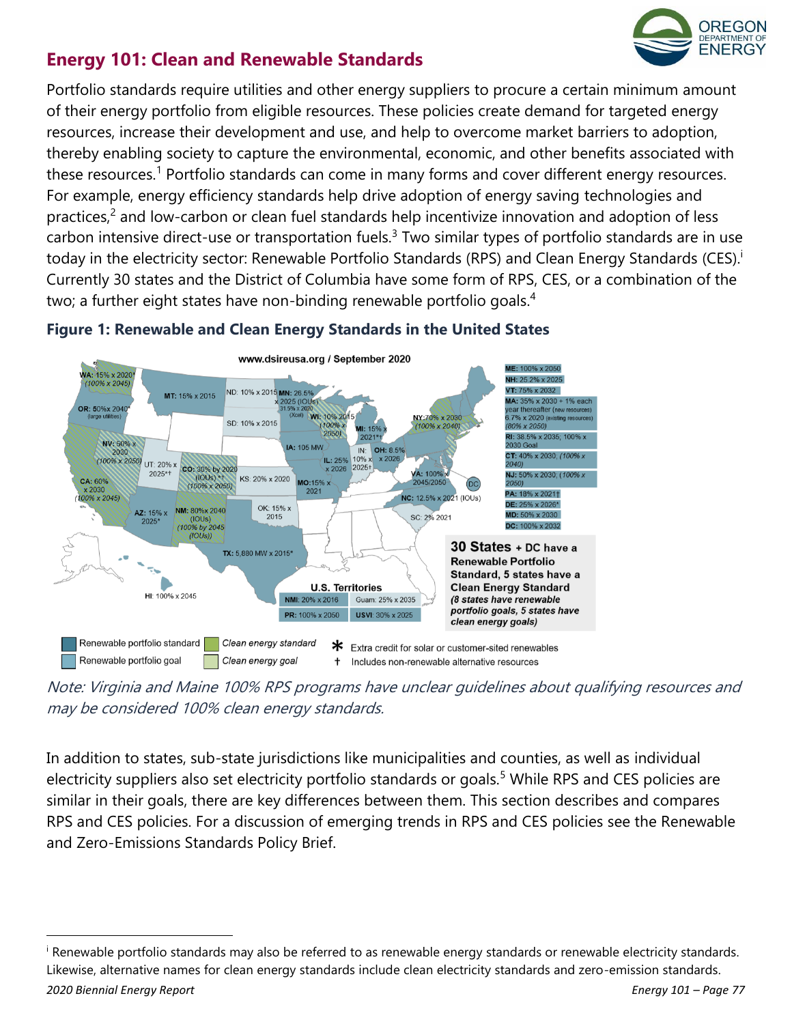

# **Energy 101: Clean and Renewable Standards**

Portfolio standards require utilities and other energy suppliers to procure a certain minimum amount of their energy portfolio from eligible resources. These policies create demand for targeted energy resources, increase their development and use, and help to overcome market barriers to adoption, thereby enabling society to capture the environmental, economic, and other benefits associated with these resources.<sup>1</sup> Portfolio standards can come in many forms and cover different energy resources. For example, energy efficiency standards help drive adoption of energy saving technologies and practices,<sup>2</sup> and low-carbon or clean fuel standards help incentivize innovation and adoption of less carbon intensive direct-use or transportation fuels.<sup>3</sup> Two similar types of portfolio standards are in use today in the electricity sector: Renewable Portfolio Standards (RPS) and Clean Energy Standards (CES).<sup>i</sup> Currently 30 states and the District of Columbia have some form of RPS, CES, or a combination of the two; a further eight states have non-binding renewable portfolio goals.<sup>4</sup>



### **Figure 1: Renewable and Clean Energy Standards in the United States**

Note: Virginia and Maine 100% RPS programs have unclear guidelines about qualifying resources and may be considered 100% clean energy standards.

In addition to states, sub-state jurisdictions like municipalities and counties, as well as individual electricity suppliers also set electricity portfolio standards or goals.<sup>5</sup> While RPS and CES policies are similar in their goals, there are key differences between them. This section describes and compares RPS and CES policies. For a discussion of emerging trends in RPS and CES policies see the Renewable and Zero-Emissions Standards Policy Brief.

*<sup>2020</sup> Biennial Energy Report Energy 101 – Page 77* <sup>i</sup> Renewable portfolio standards may also be referred to as renewable energy standards or renewable electricity standards. Likewise, alternative names for clean energy standards include clean electricity standards and zero-emission standards.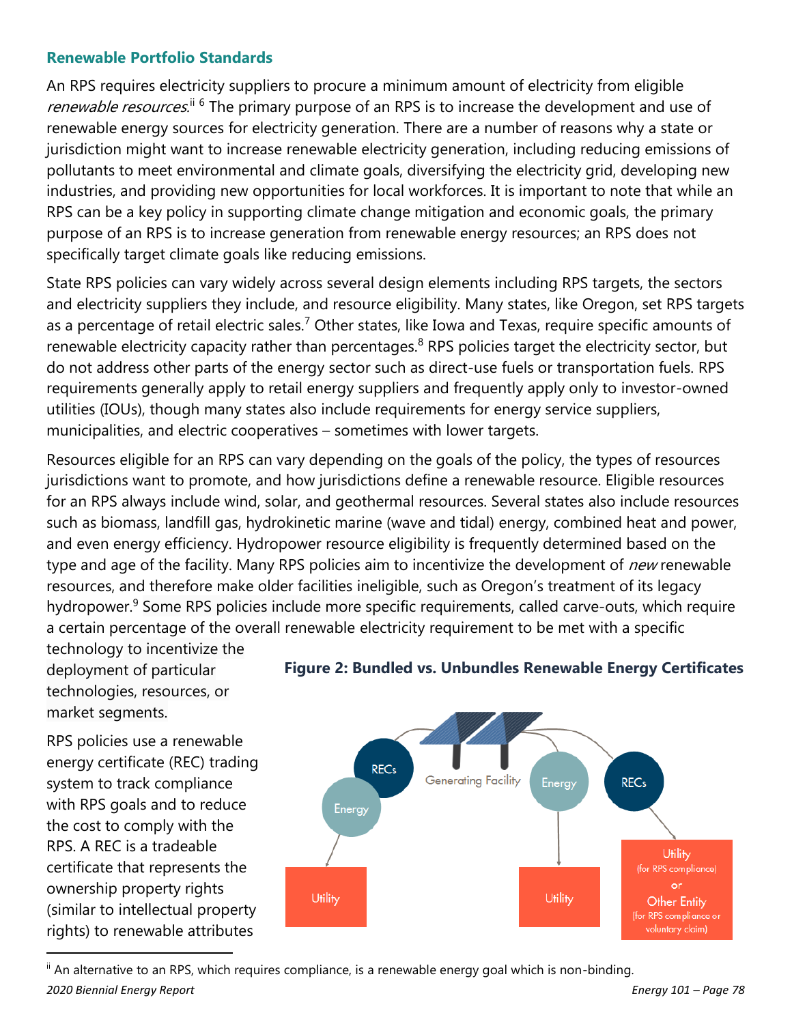#### **Renewable Portfolio Standards**

An RPS requires electricity suppliers to procure a minimum amount of electricity from eligible renewable resources.<sup>ii 6</sup> The primary purpose of an RPS is to increase the development and use of renewable energy sources for electricity generation. There are a number of reasons why a state or jurisdiction might want to increase renewable electricity generation, including reducing emissions of pollutants to meet environmental and climate goals, diversifying the electricity grid, developing new industries, and providing new opportunities for local workforces. It is important to note that while an RPS can be a key policy in supporting climate change mitigation and economic goals, the primary purpose of an RPS is to increase generation from renewable energy resources; an RPS does not specifically target climate goals like reducing emissions.

State RPS policies can vary widely across several design elements including RPS targets, the sectors and electricity suppliers they include, and resource eligibility. Many states, like Oregon, set RPS targets as a percentage of retail electric sales.<sup>7</sup> Other states, like Iowa and Texas, require specific amounts of renewable electricity capacity rather than percentages. $8$  RPS policies target the electricity sector, but do not address other parts of the energy sector such as direct-use fuels or transportation fuels. RPS requirements generally apply to retail energy suppliers and frequently apply only to investor-owned utilities (IOUs), though many states also include requirements for energy service suppliers, municipalities, and electric cooperatives – sometimes with lower targets.

Resources eligible for an RPS can vary depending on the goals of the policy, the types of resources jurisdictions want to promote, and how jurisdictions define a renewable resource. Eligible resources for an RPS always include wind, solar, and geothermal resources. Several states also include resources such as biomass, landfill gas, hydrokinetic marine (wave and tidal) energy, combined heat and power, and even energy efficiency. Hydropower resource eligibility is frequently determined based on the type and age of the facility. Many RPS policies aim to incentivize the development of *new* renewable resources, and therefore make older facilities ineligible, such as Oregon's treatment of its legacy hydropower.<sup>9</sup> Some RPS policies include more specific requirements, called carve-outs, which require a certain percentage of the overall renewable electricity requirement to be met with a specific

technology to incentivize the deployment of particular technologies, resources, or market segments.

RPS policies use a renewable energy certificate (REC) trading system to track compliance with RPS goals and to reduce the cost to comply with the RPS. A REC is a tradeable certificate that represents the ownership property rights (similar to intellectual property rights) to renewable attributes



#### **Figure 2: Bundled vs. Unbundles Renewable Energy Certificates**

*2020 Biennial Energy Report Energy 101 – Page 78*  $\mathbb{I}$  An alternative to an RPS, which requires compliance, is a renewable energy goal which is non-binding.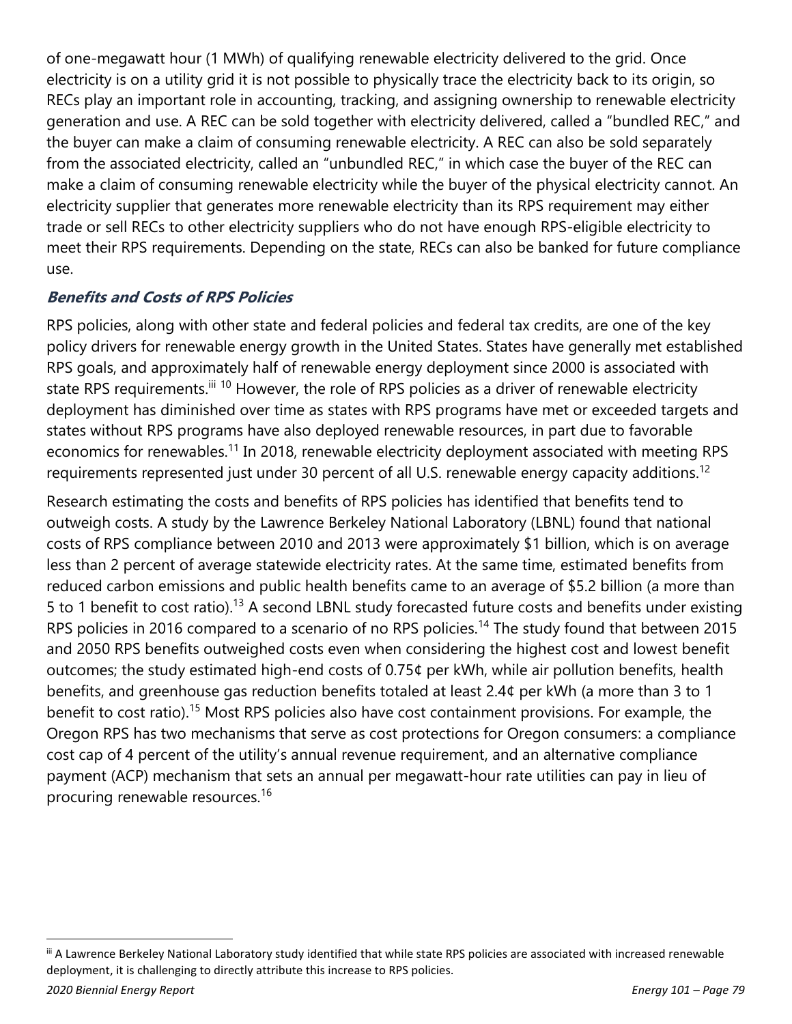of one-megawatt hour (1 MWh) of qualifying renewable electricity delivered to the grid. Once electricity is on a utility grid it is not possible to physically trace the electricity back to its origin, so RECs play an important role in accounting, tracking, and assigning ownership to renewable electricity generation and use. A REC can be sold together with electricity delivered, called a "bundled REC," and the buyer can make a claim of consuming renewable electricity. A REC can also be sold separately from the associated electricity, called an "unbundled REC," in which case the buyer of the REC can make a claim of consuming renewable electricity while the buyer of the physical electricity cannot. An electricity supplier that generates more renewable electricity than its RPS requirement may either trade or sell RECs to other electricity suppliers who do not have enough RPS-eligible electricity to meet their RPS requirements. Depending on the state, RECs can also be banked for future compliance use.

## **Benefits and Costs of RPS Policies**

RPS policies, along with other state and federal policies and federal tax credits, are one of the key policy drivers for renewable energy growth in the United States. States have generally met established RPS goals, and approximately half of renewable energy deployment since 2000 is associated with state RPS requirements.<sup>iii 10</sup> However, the role of RPS policies as a driver of renewable electricity deployment has diminished over time as states with RPS programs have met or exceeded targets and states without RPS programs have also deployed renewable resources, in part due to favorable economics for renewables.<sup>11</sup> In 2018, renewable electricity deployment associated with meeting RPS requirements represented just under 30 percent of all U.S. renewable energy capacity additions.<sup>12</sup>

Research estimating the costs and benefits of RPS policies has identified that benefits tend to outweigh costs. A study by the Lawrence Berkeley National Laboratory (LBNL) found that national costs of RPS compliance between 2010 and 2013 were approximately \$1 billion, which is on average less than 2 percent of average statewide electricity rates. At the same time, estimated benefits from reduced carbon emissions and public health benefits came to an average of \$5.2 billion (a more than 5 to 1 benefit to cost ratio).<sup>13</sup> A second LBNL study forecasted future costs and benefits under existing RPS policies in 2016 compared to a scenario of no RPS policies.<sup>14</sup> The study found that between 2015 and 2050 RPS benefits outweighed costs even when considering the highest cost and lowest benefit outcomes; the study estimated high-end costs of 0.75¢ per kWh, while air pollution benefits, health benefits, and greenhouse gas reduction benefits totaled at least 2.4¢ per kWh (a more than 3 to 1 benefit to cost ratio).<sup>15</sup> Most RPS policies also have cost containment provisions. For example, the Oregon RPS has two mechanisms that serve as cost protections for Oregon consumers: a compliance cost cap of 4 percent of the utility's annual revenue requirement, and an alternative compliance payment (ACP) mechanism that sets an annual per megawatt-hour rate utilities can pay in lieu of procuring renewable resources.<sup>16</sup>

iii A Lawrence Berkeley National Laboratory study identified that while state RPS policies are associated with increased renewable deployment, it is challenging to directly attribute this increase to RPS policies.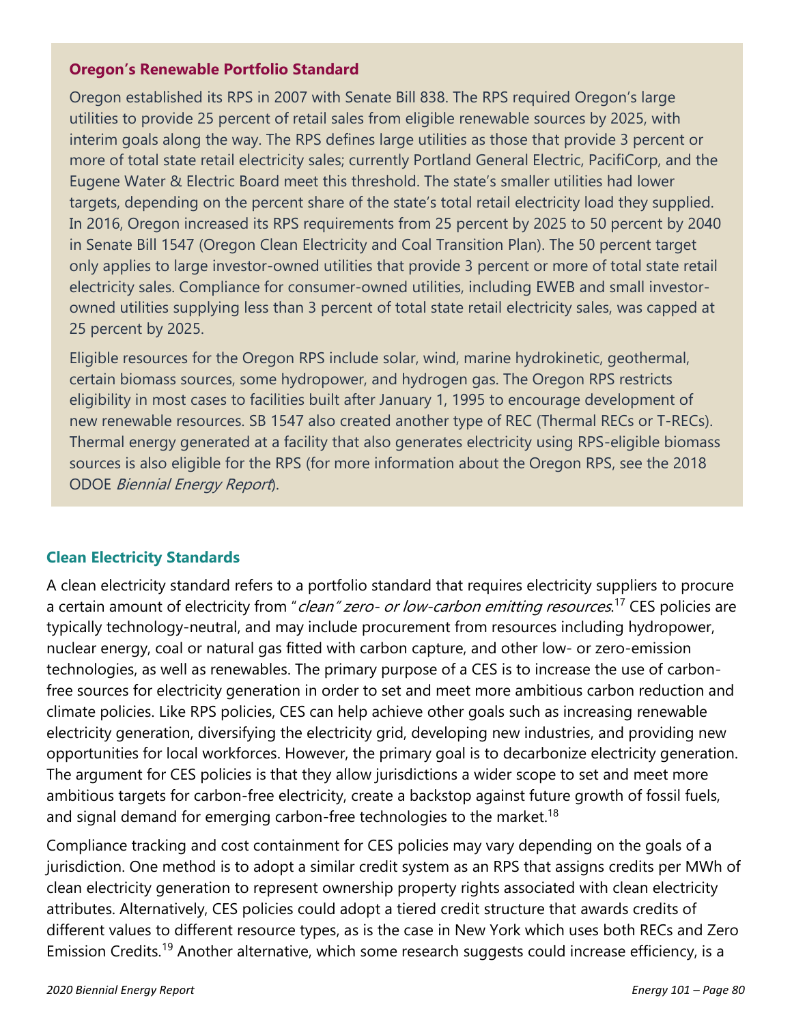#### **Oregon's Renewable Portfolio Standard**

Oregon established its RPS in 2007 with Senate Bill 838. The RPS required Oregon's large utilities to provide 25 percent of retail sales from eligible renewable sources by 2025, with interim goals along the way. The RPS defines large utilities as those that provide 3 percent or more of total state retail electricity sales; currently Portland General Electric, PacifiCorp, and the Eugene Water & Electric Board meet this threshold. The state's smaller utilities had lower targets, depending on the percent share of the state's total retail electricity load they supplied. In 2016, Oregon increased its RPS requirements from 25 percent by 2025 to 50 percent by 2040 in Senate Bill 1547 (Oregon Clean Electricity and Coal Transition Plan). The 50 percent target only applies to large investor-owned utilities that provide 3 percent or more of total state retail electricity sales. Compliance for consumer-owned utilities, including EWEB and small investorowned utilities supplying less than 3 percent of total state retail electricity sales, was capped at 25 percent by 2025.

Eligible resources for the Oregon RPS include solar, wind, marine hydrokinetic, geothermal, certain biomass sources, some hydropower, and hydrogen gas. The Oregon RPS restricts eligibility in most cases to facilities built after January 1, 1995 to encourage development of new renewable resources. SB 1547 also created another type of REC (Thermal RECs or T-RECs). Thermal energy generated at a facility that also generates electricity using RPS-eligible biomass sources is also eligible for the RPS (for more information about the Oregon RPS, see the 2018 ODOE Biennial Energy Report).

#### **Clean Electricity Standards**

A clean electricity standard refers to a portfolio standard that requires electricity suppliers to procure a certain amount of electricity from "*clean" zero- or low-carbon emitting resources*.<sup>17</sup> CES policies are typically technology-neutral, and may include procurement from resources including hydropower, nuclear energy, coal or natural gas fitted with carbon capture, and other low- or zero-emission technologies, as well as renewables. The primary purpose of a CES is to increase the use of carbonfree sources for electricity generation in order to set and meet more ambitious carbon reduction and climate policies. Like RPS policies, CES can help achieve other goals such as increasing renewable electricity generation, diversifying the electricity grid, developing new industries, and providing new opportunities for local workforces. However, the primary goal is to decarbonize electricity generation. The argument for CES policies is that they allow jurisdictions a wider scope to set and meet more ambitious targets for carbon-free electricity, create a backstop against future growth of fossil fuels, and signal demand for emerging carbon-free technologies to the market.<sup>18</sup>

Compliance tracking and cost containment for CES policies may vary depending on the goals of a jurisdiction. One method is to adopt a similar credit system as an RPS that assigns credits per MWh of clean electricity generation to represent ownership property rights associated with clean electricity attributes. Alternatively, CES policies could adopt a tiered credit structure that awards credits of different values to different resource types, as is the case in New York which uses both RECs and Zero Emission Credits.<sup>19</sup> Another alternative, which some research suggests could increase efficiency, is a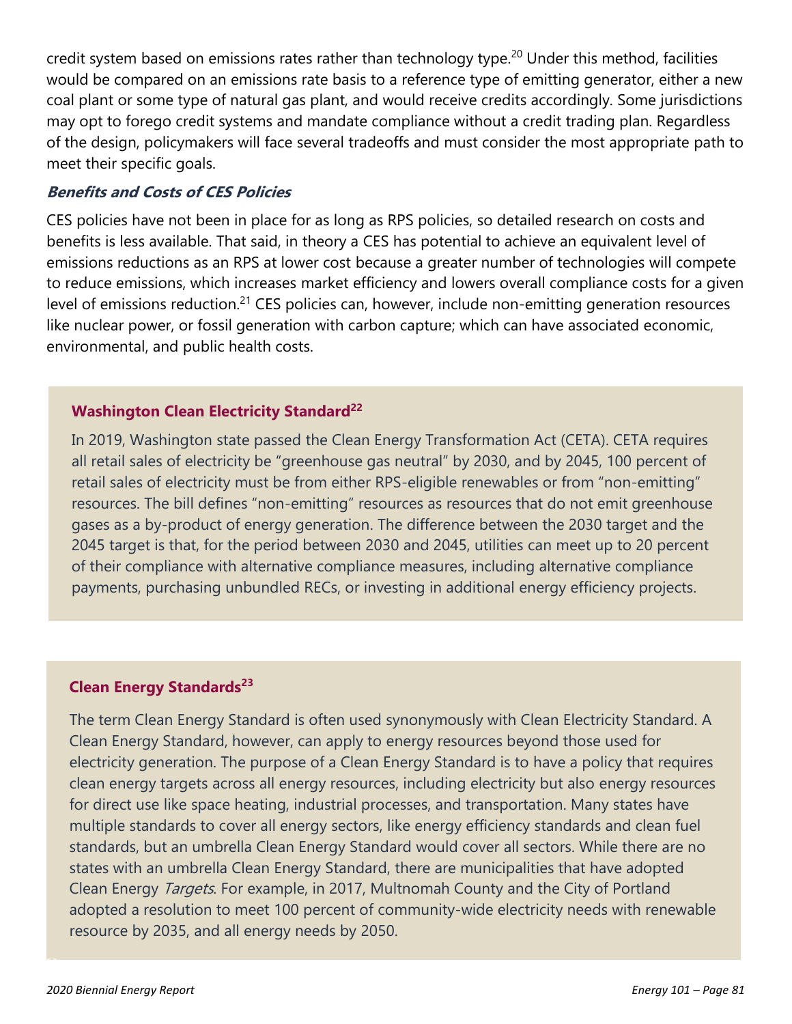credit system based on emissions rates rather than technology type.<sup>20</sup> Under this method, facilities would be compared on an emissions rate basis to a reference type of emitting generator, either a new coal plant or some type of natural gas plant, and would receive credits accordingly. Some jurisdictions may opt to forego credit systems and mandate compliance without a credit trading plan. Regardless of the design, policymakers will face several tradeoffs and must consider the most appropriate path to meet their specific goals.

#### **Benefits and Costs of CES Policies**

CES policies have not been in place for as long as RPS policies, so detailed research on costs and benefits is less available. That said, in theory a CES has potential to achieve an equivalent level of emissions reductions as an RPS at lower cost because a greater number of technologies will compete to reduce emissions, which increases market efficiency and lowers overall compliance costs for a given level of emissions reduction.<sup>21</sup> CES policies can, however, include non-emitting generation resources like nuclear power, or fossil generation with carbon capture; which can have associated economic, environmental, and public health costs.

#### **Washington Clean Electricity Standard<sup>22</sup>**

In 2019, Washington state passed the Clean Energy Transformation Act (CETA). CETA requires all retail sales of electricity be "greenhouse gas neutral" by 2030, and by 2045, 100 percent of retail sales of electricity must be from either RPS-eligible renewables or from "non-emitting" resources. The bill defines "non-emitting" resources as resources that do not emit greenhouse gases as a by-product of energy generation. The difference between the 2030 target and the 2045 target is that, for the period between 2030 and 2045, utilities can meet up to 20 percent of their compliance with alternative compliance measures, including alternative compliance payments, purchasing unbundled RECs, or investing in additional energy efficiency projects.

#### **Clean Energy Standards<sup>23</sup>**

The term Clean Energy Standard is often used synonymously with Clean Electricity Standard. A Clean Energy Standard, however, can apply to energy resources beyond those used for electricity generation. The purpose of a Clean Energy Standard is to have a policy that requires clean energy targets across all energy resources, including electricity but also energy resources for direct use like space heating, industrial processes, and transportation. Many states have multiple standards to cover all energy sectors, like energy efficiency standards and clean fuel standards, but an umbrella Clean Energy Standard would cover all sectors. While there are no states with an umbrella Clean Energy Standard, there are municipalities that have adopted Clean Energy Targets. For example, in 2017, Multnomah County and the City of Portland adopted a resolution to meet 100 percent of community-wide electricity needs with renewable resource by 2035, and all energy needs by 2050.

 $\sim$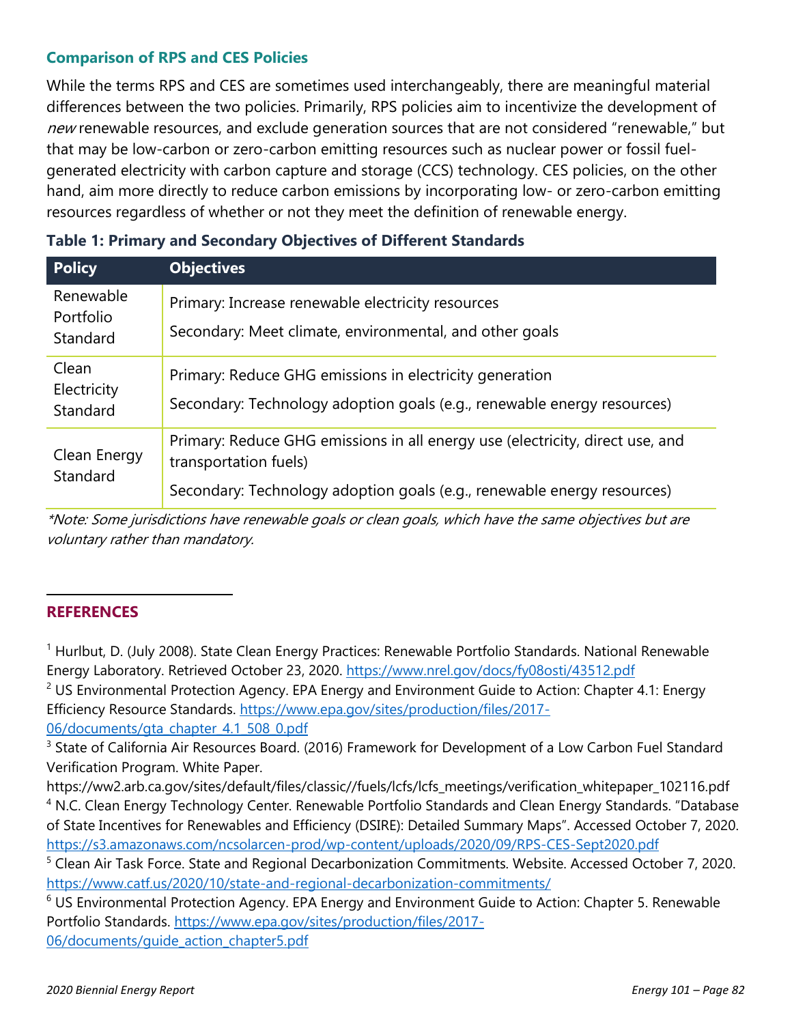### **Comparison of RPS and CES Policies**

While the terms RPS and CES are sometimes used interchangeably, there are meaningful material differences between the two policies. Primarily, RPS policies aim to incentivize the development of new renewable resources, and exclude generation sources that are not considered "renewable," but that may be low-carbon or zero-carbon emitting resources such as nuclear power or fossil fuelgenerated electricity with carbon capture and storage (CCS) technology. CES policies, on the other hand, aim more directly to reduce carbon emissions by incorporating low- or zero-carbon emitting resources regardless of whether or not they meet the definition of renewable energy.

| <b>Policy</b>                      | <b>Objectives</b>                                                                                                                  |
|------------------------------------|------------------------------------------------------------------------------------------------------------------------------------|
| Renewable<br>Portfolio<br>Standard | Primary: Increase renewable electricity resources<br>Secondary: Meet climate, environmental, and other goals                       |
| Clean<br>Electricity<br>Standard   | Primary: Reduce GHG emissions in electricity generation<br>Secondary: Technology adoption goals (e.g., renewable energy resources) |
| Clean Energy<br>Standard           | Primary: Reduce GHG emissions in all energy use (electricity, direct use, and<br>transportation fuels)                             |
|                                    | Secondary: Technology adoption goals (e.g., renewable energy resources)                                                            |

## **Table 1: Primary and Secondary Objectives of Different Standards**

\*Note: Some jurisdictions have renewable goals or clean goals, which have the same objectives but are voluntary rather than mandatory.

#### **REFERENCES**

<sup>1</sup> Hurlbut, D. (July 2008). State Clean Energy Practices: Renewable Portfolio Standards. National Renewable Energy Laboratory. Retrieved October 23, 2020.<https://www.nrel.gov/docs/fy08osti/43512.pdf>  $2$  US Environmental Protection Agency. EPA Energy and Environment Guide to Action: Chapter 4.1: Energy Efficiency Resource Standards. [https://www.epa.gov/sites/production/files/2017-](https://www.epa.gov/sites/production/files/2017-06/documents/gta_chapter_4.1_508_0.pdf)

[06/documents/gta\\_chapter\\_4.1\\_508\\_0.pdf](https://www.epa.gov/sites/production/files/2017-06/documents/gta_chapter_4.1_508_0.pdf)

<sup>3</sup> State of California Air Resources Board. (2016) Framework for Development of a Low Carbon Fuel Standard Verification Program. White Paper.

https://ww2.arb.ca.gov/sites/default/files/classic//fuels/lcfs/lcfs\_meetings/verification\_whitepaper\_102116.pdf <sup>4</sup> N.C. Clean Energy Technology Center. Renewable Portfolio Standards and Clean Energy Standards. "Database of State Incentives for Renewables and Efficiency (DSIRE): Detailed Summary Maps". Accessed October 7, 2020. <https://s3.amazonaws.com/ncsolarcen-prod/wp-content/uploads/2020/09/RPS-CES-Sept2020.pdf>

<sup>&</sup>lt;sup>5</sup> Clean Air Task Force. State and Regional Decarbonization Commitments. Website. Accessed October 7, 2020. <https://www.catf.us/2020/10/state-and-regional-decarbonization-commitments/>

 $6$  US Environmental Protection Agency. EPA Energy and Environment Guide to Action: Chapter 5. Renewable Portfolio Standards. [https://www.epa.gov/sites/production/files/2017-](https://www.epa.gov/sites/production/files/2017-06/documents/guide_action_chapter5.pdf) [06/documents/guide\\_action\\_chapter5.pdf](https://www.epa.gov/sites/production/files/2017-06/documents/guide_action_chapter5.pdf)